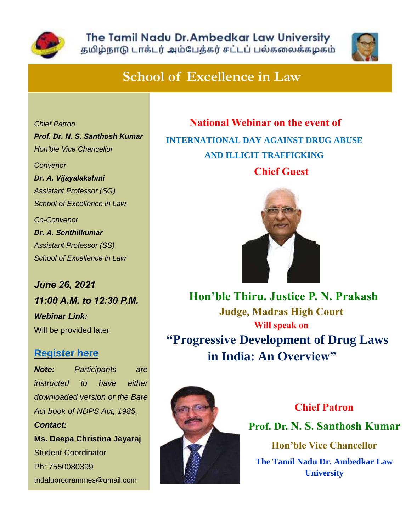



## **School of Excellence in Law**

*Chief Patron Prof. Dr. N. S. Santhosh Kumar Hon'ble Vice Chancellor Convenor Dr. A. Vijayalakshmi Assistant Professor (SG) School of Excellence in Law Co-Convenor Dr. A. Senthilkumar Assistant Professor (SS)*

*June 26, 2021 11:00 A.M. to 12:30 P.M.*

*School of Excellence in Law*

*Webinar Link:* Will be provided later

## **[Register](https://docs.google.com/forms/d/e/1FAIpQLSfkrh0aI-CKX0Qd6XWARgt18Cjwz14d59Rw2_RIF9kUtzdOvw/viewform?usp=sf_link) here**

*Note: Participants are instructed to have either downloaded version or the Bare Act book of NDPS Act, 1985. Contact:* **Ms. Deepa Christina Jeyaraj** Student Coordinator Ph: 7550080399 [tndaluprogrammes@gmail.com](mailto:tndaluprogrammes@gmail.com)

 **National Webinar on the event of INTERNATIONAL DAY AGAINST DRUG ABUSE AND ILLICIT TRAFFICKING**

**Chief Guest**



 **Hon'ble Thiru. Justice P. N. Prakash Judge, Madras High Court Will speak on "Progressive Development of Drug Laws in India: An Overview"**



**Chief Patron**

**Prof. Dr. N. S. Santhosh Kumar**

**Hon'ble Vice Chancellor**

**The Tamil Nadu Dr. Ambedkar Law University**